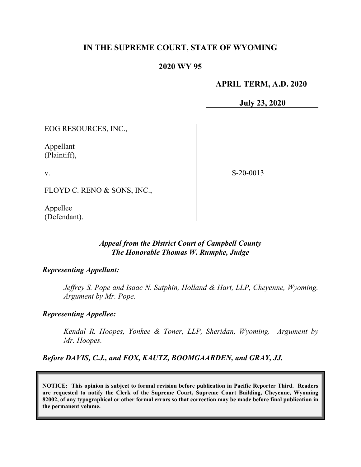# **IN THE SUPREME COURT, STATE OF WYOMING**

# **2020 WY 95**

# **APRIL TERM, A.D. 2020**

**July 23, 2020**

EOG RESOURCES, INC.,

Appellant (Plaintiff),

v.

S-20-0013

FLOYD C. RENO & SONS, INC.,

Appellee (Defendant).

# *Appeal from the District Court of Campbell County The Honorable Thomas W. Rumpke, Judge*

# *Representing Appellant:*

*Jeffrey S. Pope and Isaac N. Sutphin, Holland & Hart, LLP, Cheyenne, Wyoming. Argument by Mr. Pope.*

# *Representing Appellee:*

*Kendal R. Hoopes, Yonkee & Toner, LLP, Sheridan, Wyoming. Argument by Mr. Hoopes.*

*Before DAVIS, C.J., and FOX, KAUTZ, BOOMGAARDEN, and GRAY, JJ.*

**NOTICE: This opinion is subject to formal revision before publication in Pacific Reporter Third. Readers are requested to notify the Clerk of the Supreme Court, Supreme Court Building, Cheyenne, Wyoming 82002, of any typographical or other formal errors so that correction may be made before final publication in the permanent volume.**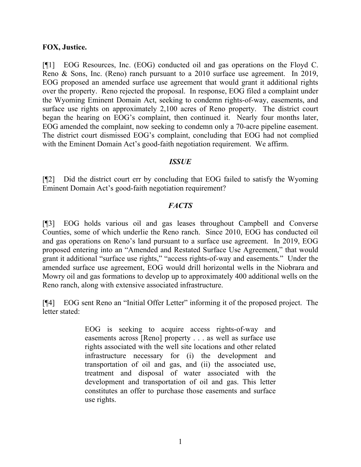#### **FOX, Justice.**

[¶1] EOG Resources, Inc. (EOG) conducted oil and gas operations on the Floyd C. Reno & Sons, Inc. (Reno) ranch pursuant to a 2010 surface use agreement. In 2019, EOG proposed an amended surface use agreement that would grant it additional rights over the property. Reno rejected the proposal. In response, EOG filed a complaint under the Wyoming Eminent Domain Act, seeking to condemn rights-of-way, easements, and surface use rights on approximately 2,100 acres of Reno property. The district court began the hearing on EOG's complaint, then continued it. Nearly four months later, EOG amended the complaint, now seeking to condemn only a 70-acre pipeline easement. The district court dismissed EOG's complaint, concluding that EOG had not complied with the Eminent Domain Act's good-faith negotiation requirement. We affirm.

# *ISSUE*

[¶2] Did the district court err by concluding that EOG failed to satisfy the Wyoming Eminent Domain Act's good-faith negotiation requirement?

# *FACTS*

[¶3] EOG holds various oil and gas leases throughout Campbell and Converse Counties, some of which underlie the Reno ranch. Since 2010, EOG has conducted oil and gas operations on Reno's land pursuant to a surface use agreement. In 2019, EOG proposed entering into an "Amended and Restated Surface Use Agreement," that would grant it additional "surface use rights," "access rights-of-way and easements." Under the amended surface use agreement, EOG would drill horizontal wells in the Niobrara and Mowry oil and gas formations to develop up to approximately 400 additional wells on the Reno ranch, along with extensive associated infrastructure.

[¶4] EOG sent Reno an "Initial Offer Letter" informing it of the proposed project. The letter stated:

> EOG is seeking to acquire access rights-of-way and easements across [Reno] property . . . as well as surface use rights associated with the well site locations and other related infrastructure necessary for (i) the development and transportation of oil and gas, and (ii) the associated use, treatment and disposal of water associated with the development and transportation of oil and gas. This letter constitutes an offer to purchase those easements and surface use rights.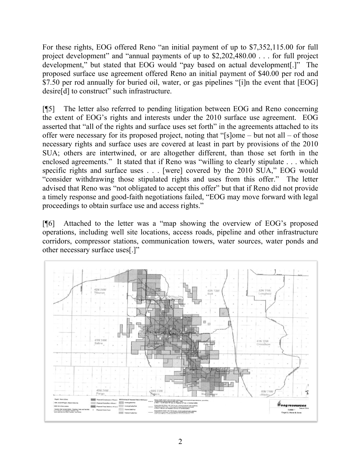For these rights, EOG offered Reno "an initial payment of up to \$7,352,115.00 for full project development" and "annual payments of up to \$2,202,480.00 . . . for full project development," but stated that EOG would "pay based on actual development[.]" The proposed surface use agreement offered Reno an initial payment of \$40.00 per rod and \$7.50 per rod annually for buried oil, water, or gas pipelines "[i]n the event that [EOG] desire[d] to construct" such infrastructure.

[¶5] The letter also referred to pending litigation between EOG and Reno concerning the extent of EOG's rights and interests under the 2010 surface use agreement. EOG asserted that "all of the rights and surface uses set forth" in the agreements attached to its offer were necessary for its proposed project, noting that "[s]ome – but not all – of those necessary rights and surface uses are covered at least in part by provisions of the 2010 SUA; others are intertwined, or are altogether different, than those set forth in the enclosed agreements." It stated that if Reno was "willing to clearly stipulate . . . which specific rights and surface uses . . . [were] covered by the 2010 SUA," EOG would "consider withdrawing those stipulated rights and uses from this offer." The letter advised that Reno was "not obligated to accept this offer" but that if Reno did not provide a timely response and good-faith negotiations failed, "EOG may move forward with legal proceedings to obtain surface use and access rights."

[¶6] Attached to the letter was a "map showing the overview of EOG's proposed operations, including well site locations, access roads, pipeline and other infrastructure corridors, compressor stations, communication towers, water sources, water ponds and other necessary surface uses[.]"

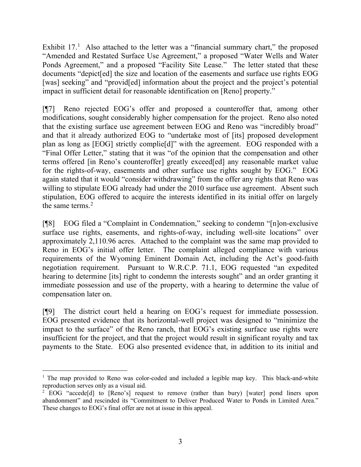Exhibit  $17<sup>1</sup>$  $17<sup>1</sup>$  Also attached to the letter was a "financial summary chart," the proposed "Amended and Restated Surface Use Agreement," a proposed "Water Wells and Water Ponds Agreement," and a proposed "Facility Site Lease." The letter stated that these documents "depict[ed] the size and location of the easements and surface use rights EOG [was] seeking" and "provided] information about the project and the project's potential impact in sufficient detail for reasonable identification on [Reno] property."

[¶7] Reno rejected EOG's offer and proposed a counteroffer that, among other modifications, sought considerably higher compensation for the project. Reno also noted that the existing surface use agreement between EOG and Reno was "incredibly broad" and that it already authorized EOG to "undertake most of [its] proposed development plan as long as [EOG] strictly complie[d]" with the agreement. EOG responded with a "Final Offer Letter," stating that it was "of the opinion that the compensation and other terms offered [in Reno's counteroffer] greatly exceed[ed] any reasonable market value for the rights-of-way, easements and other surface use rights sought by EOG." EOG again stated that it would "consider withdrawing" from the offer any rights that Reno was willing to stipulate EOG already had under the 2010 surface use agreement. Absent such stipulation, EOG offered to acquire the interests identified in its initial offer on largely the same terms. $2$ 

[¶8] EOG filed a "Complaint in Condemnation," seeking to condemn "[n]on-exclusive surface use rights, easements, and rights-of-way, including well-site locations" over approximately 2,110.96 acres. Attached to the complaint was the same map provided to Reno in EOG's initial offer letter. The complaint alleged compliance with various requirements of the Wyoming Eminent Domain Act, including the Act's good-faith negotiation requirement. Pursuant to W.R.C.P. 71.1, EOG requested "an expedited hearing to determine [its] right to condemn the interests sought" and an order granting it immediate possession and use of the property, with a hearing to determine the value of compensation later on.

[¶9] The district court held a hearing on EOG's request for immediate possession. EOG presented evidence that its horizontal-well project was designed to "minimize the impact to the surface" of the Reno ranch, that EOG's existing surface use rights were insufficient for the project, and that the project would result in significant royalty and tax payments to the State. EOG also presented evidence that, in addition to its initial and

<span id="page-3-0"></span><sup>&</sup>lt;sup>1</sup> The map provided to Reno was color-coded and included a legible map key. This black-and-white reproduction serves only as a visual aid.

<span id="page-3-1"></span><sup>&</sup>lt;sup>2</sup> EOG "accede<sup>[d]</sup> to [Reno's] request to remove (rather than bury) [water] pond liners upon abandonment" and rescinded its "Commitment to Deliver Produced Water to Ponds in Limited Area." These changes to EOG's final offer are not at issue in this appeal.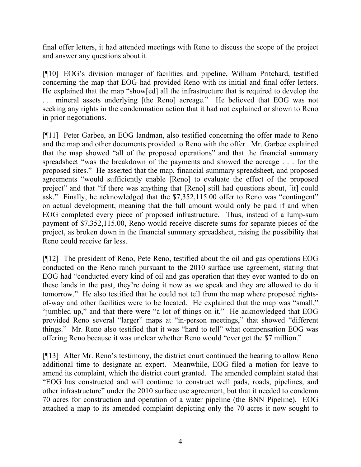final offer letters, it had attended meetings with Reno to discuss the scope of the project and answer any questions about it.

[¶10] EOG's division manager of facilities and pipeline, William Pritchard, testified concerning the map that EOG had provided Reno with its initial and final offer letters. He explained that the map "show[ed] all the infrastructure that is required to develop the ... mineral assets underlying [the Reno] acreage." He believed that EOG was not seeking any rights in the condemnation action that it had not explained or shown to Reno in prior negotiations.

[¶11] Peter Garbee, an EOG landman, also testified concerning the offer made to Reno and the map and other documents provided to Reno with the offer. Mr. Garbee explained that the map showed "all of the proposed operations" and that the financial summary spreadsheet "was the breakdown of the payments and showed the acreage . . . for the proposed sites." He asserted that the map, financial summary spreadsheet, and proposed agreements "would sufficiently enable [Reno] to evaluate the effect of the proposed project" and that "if there was anything that [Reno] still had questions about, [it] could ask." Finally, he acknowledged that the \$7,352,115.00 offer to Reno was "contingent" on actual development, meaning that the full amount would only be paid if and when EOG completed every piece of proposed infrastructure. Thus, instead of a lump-sum payment of \$7,352,115.00, Reno would receive discrete sums for separate pieces of the project, as broken down in the financial summary spreadsheet, raising the possibility that Reno could receive far less.

[¶12] The president of Reno, Pete Reno, testified about the oil and gas operations EOG conducted on the Reno ranch pursuant to the 2010 surface use agreement, stating that EOG had "conducted every kind of oil and gas operation that they ever wanted to do on these lands in the past, they're doing it now as we speak and they are allowed to do it tomorrow." He also testified that he could not tell from the map where proposed rightsof-way and other facilities were to be located. He explained that the map was "small," "jumbled up," and that there were "a lot of things on it." He acknowledged that EOG provided Reno several "larger" maps at "in-person meetings," that showed "different things." Mr. Reno also testified that it was "hard to tell" what compensation EOG was offering Reno because it was unclear whether Reno would "ever get the \$7 million."

[¶13] After Mr. Reno's testimony, the district court continued the hearing to allow Reno additional time to designate an expert. Meanwhile, EOG filed a motion for leave to amend its complaint, which the district court granted. The amended complaint stated that "EOG has constructed and will continue to construct well pads, roads, pipelines, and other infrastructure" under the 2010 surface use agreement, but that it needed to condemn 70 acres for construction and operation of a water pipeline (the BNN Pipeline). EOG attached a map to its amended complaint depicting only the 70 acres it now sought to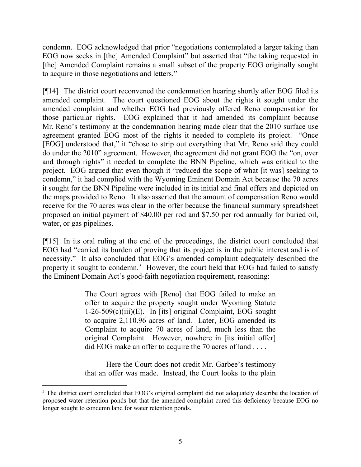condemn. EOG acknowledged that prior "negotiations contemplated a larger taking than EOG now seeks in [the] Amended Complaint" but asserted that "the taking requested in [the] Amended Complaint remains a small subset of the property EOG originally sought to acquire in those negotiations and letters."

[¶14] The district court reconvened the condemnation hearing shortly after EOG filed its amended complaint. The court questioned EOG about the rights it sought under the amended complaint and whether EOG had previously offered Reno compensation for those particular rights. EOG explained that it had amended its complaint because Mr. Reno's testimony at the condemnation hearing made clear that the 2010 surface use agreement granted EOG most of the rights it needed to complete its project. "Once [EOG] understood that," it "chose to strip out everything that Mr. Reno said they could do under the 2010" agreement. However, the agreement did not grant EOG the "on, over and through rights" it needed to complete the BNN Pipeline, which was critical to the project. EOG argued that even though it "reduced the scope of what [it was] seeking to condemn," it had complied with the Wyoming Eminent Domain Act because the 70 acres it sought for the BNN Pipeline were included in its initial and final offers and depicted on the maps provided to Reno. It also asserted that the amount of compensation Reno would receive for the 70 acres was clear in the offer because the financial summary spreadsheet proposed an initial payment of \$40.00 per rod and \$7.50 per rod annually for buried oil, water, or gas pipelines.

[¶15] In its oral ruling at the end of the proceedings, the district court concluded that EOG had "carried its burden of proving that its project is in the public interest and is of necessity." It also concluded that EOG's amended complaint adequately described the property it sought to condemn.<sup>[3](#page-5-0)</sup> However, the court held that EOG had failed to satisfy the Eminent Domain Act's good-faith negotiation requirement, reasoning:

> The Court agrees with [Reno] that EOG failed to make an offer to acquire the property sought under Wyoming Statute  $1-26-509(c)(iii)(E)$ . In [its] original Complaint, EOG sought to acquire 2,110.96 acres of land. Later, EOG amended its Complaint to acquire 70 acres of land, much less than the original Complaint. However, nowhere in [its initial offer] did EOG make an offer to acquire the 70 acres of land . . . .

> Here the Court does not credit Mr. Garbee's testimony that an offer was made. Instead, the Court looks to the plain

<span id="page-5-0"></span><sup>&</sup>lt;sup>3</sup> The district court concluded that EOG's original complaint did not adequately describe the location of proposed water retention ponds but that the amended complaint cured this deficiency because EOG no longer sought to condemn land for water retention ponds.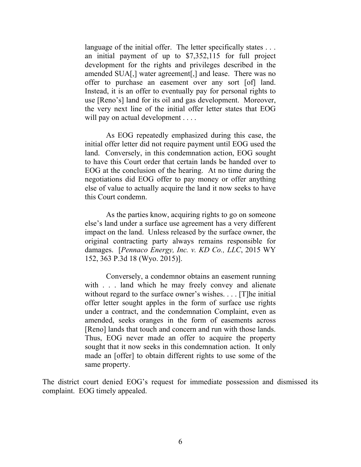language of the initial offer. The letter specifically states ... an initial payment of up to \$7,352,115 for full project development for the rights and privileges described in the amended SUA[,] water agreement[,] and lease. There was no offer to purchase an easement over any sort [of] land. Instead, it is an offer to eventually pay for personal rights to use [Reno's] land for its oil and gas development. Moreover, the very next line of the initial offer letter states that EOG will pay on actual development . . . .

As EOG repeatedly emphasized during this case, the initial offer letter did not require payment until EOG used the land. Conversely, in this condemnation action, EOG sought to have this Court order that certain lands be handed over to EOG at the conclusion of the hearing. At no time during the negotiations did EOG offer to pay money or offer anything else of value to actually acquire the land it now seeks to have this Court condemn.

As the parties know, acquiring rights to go on someone else's land under a surface use agreement has a very different impact on the land. Unless released by the surface owner, the original contracting party always remains responsible for damages. [*Pennaco Energy, Inc. v. KD Co., LLC*, 2015 WY 152, 363 P.3d 18 (Wyo. 2015)].

Conversely, a condemnor obtains an easement running with . . . land which he may freely convey and alienate without regard to the surface owner's wishes.... [T]he initial offer letter sought apples in the form of surface use rights under a contract, and the condemnation Complaint, even as amended, seeks oranges in the form of easements across [Reno] lands that touch and concern and run with those lands. Thus, EOG never made an offer to acquire the property sought that it now seeks in this condemnation action. It only made an [offer] to obtain different rights to use some of the same property.

The district court denied EOG's request for immediate possession and dismissed its complaint. EOG timely appealed.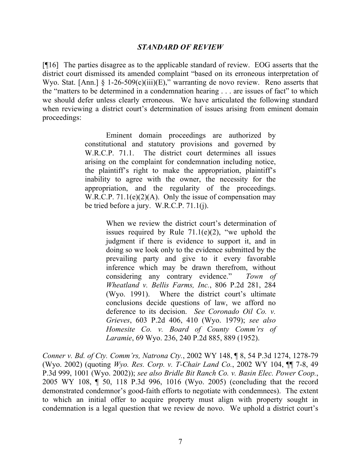#### *STANDARD OF REVIEW*

[¶16] The parties disagree as to the applicable standard of review. EOG asserts that the district court dismissed its amended complaint "based on its erroneous interpretation of Wyo. Stat. [Ann.]  $\S 1-26-509(c)(iii)(E)$ ," warranting de novo review. Reno asserts that the "matters to be determined in a condemnation hearing . . . are issues of fact" to which we should defer unless clearly erroneous. We have articulated the following standard when reviewing a district court's determination of issues arising from eminent domain proceedings:

> Eminent domain proceedings are authorized by constitutional and statutory provisions and governed by W.R.C.P. 71.1. The district court determines all issues arising on the complaint for condemnation including notice, the plaintiff's right to make the appropriation, plaintiff's inability to agree with the owner, the necessity for the appropriation, and the regularity of the proceedings. W.R.C.P.  $71.1(e)(2)(A)$ . Only the issue of compensation may be tried before a jury. W.R.C.P. 71.1(j).

> > When we review the district court's determination of issues required by Rule  $71.1(e)(2)$ , "we uphold the judgment if there is evidence to support it, and in doing so we look only to the evidence submitted by the prevailing party and give to it every favorable inference which may be drawn therefrom, without considering any contrary evidence." *Town of Wheatland v. Bellis Farms, Inc.*, 806 P.2d 281, 284 (Wyo. 1991). Where the district court's ultimate conclusions decide questions of law, we afford no deference to its decision. *See Coronado Oil Co. v. Grieves*, 603 P.2d 406, 410 (Wyo. 1979); *see also Homesite Co. v. Board of County Comm'rs of Laramie*, 69 Wyo. 236, 240 P.2d 885, 889 (1952).

*Conner v. Bd. of Cty. Comm'rs, Natrona Cty.*, 2002 WY 148, ¶ 8, 54 P.3d 1274, 1278-79 (Wyo. 2002) (quoting *Wyo. Res. Corp. v. T-Chair Land Co.*, 2002 WY 104, ¶¶ 7-8, 49 P.3d 999, 1001 (Wyo. 2002)); *see also Bridle Bit Ranch Co. v. Basin Elec. Power Coop.*, 2005 WY 108, ¶ 50, 118 P.3d 996, 1016 (Wyo. 2005) (concluding that the record demonstrated condemnor's good-faith efforts to negotiate with condemnees). The extent to which an initial offer to acquire property must align with property sought in condemnation is a legal question that we review de novo. We uphold a district court's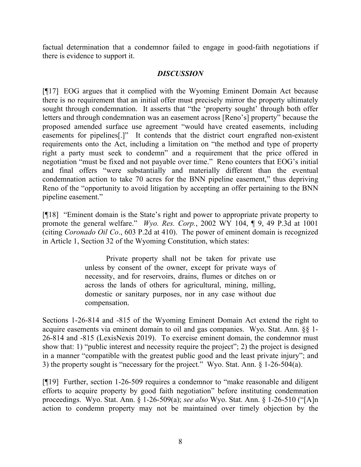factual determination that a condemnor failed to engage in good-faith negotiations if there is evidence to support it.

# *DISCUSSION*

[¶17] EOG argues that it complied with the Wyoming Eminent Domain Act because there is no requirement that an initial offer must precisely mirror the property ultimately sought through condemnation. It asserts that "the 'property sought' through both offer letters and through condemnation was an easement across [Reno's] property" because the proposed amended surface use agreement "would have created easements, including easements for pipelines[.]" It contends that the district court engrafted non-existent requirements onto the Act, including a limitation on "the method and type of property right a party must seek to condemn" and a requirement that the price offered in negotiation "must be fixed and not payable over time." Reno counters that EOG's initial and final offers "were substantially and materially different than the eventual condemnation action to take 70 acres for the BNN pipeline easement," thus depriving Reno of the "opportunity to avoid litigation by accepting an offer pertaining to the BNN pipeline easement."

[¶18] "Eminent domain is the State's right and power to appropriate private property to promote the general welfare." *Wyo. Res. Corp.*, 2002 WY 104, ¶ 9, 49 P.3d at 1001 (citing *Coronado Oil Co*., 603 P.2d at 410). The power of eminent domain is recognized in Article 1, Section 32 of the Wyoming Constitution, which states:

> Private property shall not be taken for private use unless by consent of the owner, except for private ways of necessity, and for reservoirs, drains, flumes or ditches on or across the lands of others for agricultural, mining, milling, domestic or sanitary purposes, nor in any case without due compensation.

Sections 1-26-814 and -815 of the Wyoming Eminent Domain Act extend the right to acquire easements via eminent domain to oil and gas companies. Wyo. Stat. Ann. §§ 1- 26-814 and -815 (LexisNexis 2019). To exercise eminent domain, the condemnor must show that: 1) "public interest and necessity require the project"; 2) the project is designed in a manner "compatible with the greatest public good and the least private injury"; and 3) the property sought is "necessary for the project." Wyo. Stat. Ann. § 1-26-504(a).

[¶19] Further, section 1-26-509 requires a condemnor to "make reasonable and diligent efforts to acquire property by good faith negotiation" before instituting condemnation proceedings. Wyo. Stat. Ann. § 1-26-509(a); *see also* Wyo. Stat. Ann. § 1-26-510 ("[A]n action to condemn property may not be maintained over timely objection by the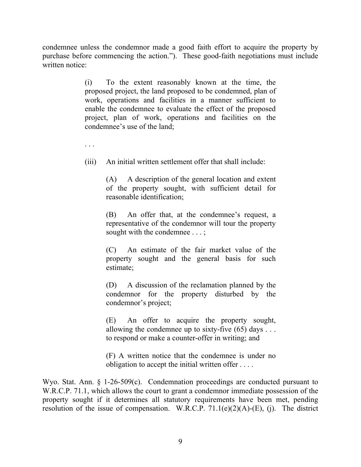condemnee unless the condemnor made a good faith effort to acquire the property by purchase before commencing the action."). These good-faith negotiations must include written notice:

> (i) To the extent reasonably known at the time, the proposed project, the land proposed to be condemned, plan of work, operations and facilities in a manner sufficient to enable the condemnee to evaluate the effect of the proposed project, plan of work, operations and facilities on the condemnee's use of the land;

. . .

(iii) An initial written settlement offer that shall include:

(A) A description of the general location and extent of the property sought, with sufficient detail for reasonable identification;

(B) An offer that, at the condemnee's request, a representative of the condemnor will tour the property sought with the condemnee . . . ;

(C) An estimate of the fair market value of the property sought and the general basis for such estimate;

(D) A discussion of the reclamation planned by the condemnor for the property disturbed by the condemnor's project;

(E) An offer to acquire the property sought, allowing the condemnee up to sixty-five  $(65)$  days ... to respond or make a counter-offer in writing; and

(F) A written notice that the condemnee is under no obligation to accept the initial written offer . . . .

Wyo. Stat. Ann. § 1-26-509(c). Condemnation proceedings are conducted pursuant to W.R.C.P. 71.1, which allows the court to grant a condemnor immediate possession of the property sought if it determines all statutory requirements have been met, pending resolution of the issue of compensation. W.R.C.P.  $71.1(e)(2)(A)-(E)$ , (j). The district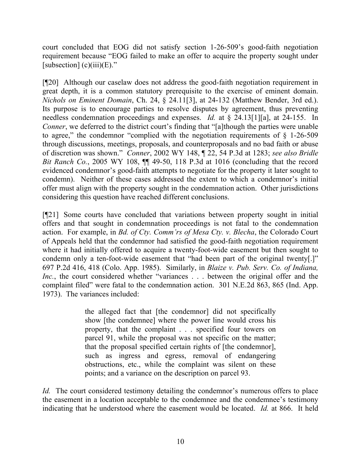court concluded that EOG did not satisfy section 1-26-509's good-faith negotiation requirement because "EOG failed to make an offer to acquire the property sought under [subsection]  $(c)(iii)(E)$ ."

[¶20] Although our caselaw does not address the good-faith negotiation requirement in great depth, it is a common statutory prerequisite to the exercise of eminent domain. *Nichols on Eminent Domain*, Ch. 24, § 24.11[3], at 24-132 (Matthew Bender, 3rd ed.). Its purpose is to encourage parties to resolve disputes by agreement, thus preventing needless condemnation proceedings and expenses. *Id.* at § 24.13[1][a], at 24-155. In *Conner*, we deferred to the district court's finding that "[a]though the parties were unable to agree," the condemnor "complied with the negotiation requirements of  $\S$  1-26-509 through discussions, meetings, proposals, and counterproposals and no bad faith or abuse of discretion was shown." *Conner*, 2002 WY 148, ¶ 22, 54 P.3d at 1283; *see also Bridle Bit Ranch Co.*, 2005 WY 108, ¶¶ 49-50, 118 P.3d at 1016 (concluding that the record evidenced condemnor's good-faith attempts to negotiate for the property it later sought to condemn). Neither of these cases addressed the extent to which a condemnor's initial offer must align with the property sought in the condemnation action. Other jurisdictions considering this question have reached different conclusions.

[¶21] Some courts have concluded that variations between property sought in initial offers and that sought in condemnation proceedings is not fatal to the condemnation action. For example, in *Bd. of Cty. Comm'rs of Mesa Cty. v. Blecha*, the Colorado Court of Appeals held that the condemnor had satisfied the good-faith negotiation requirement where it had initially offered to acquire a twenty-foot-wide easement but then sought to condemn only a ten-foot-wide easement that "had been part of the original twenty[.]" 697 P.2d 416, 418 (Colo. App. 1985). Similarly, in *Blaize v. Pub. Serv. Co. of Indiana, Inc.*, the court considered whether "variances . . . between the original offer and the complaint filed" were fatal to the condemnation action. 301 N.E.2d 863, 865 (Ind. App. 1973). The variances included:

> the alleged fact that [the condemnor] did not specifically show [the condemnee] where the power line would cross his property, that the complaint . . . specified four towers on parcel 91, while the proposal was not specific on the matter; that the proposal specified certain rights of [the condemnor], such as ingress and egress, removal of endangering obstructions, etc., while the complaint was silent on these points; and a variance on the description on parcel 93.

*Id.* The court considered testimony detailing the condemnor's numerous offers to place the easement in a location acceptable to the condemnee and the condemnee's testimony indicating that he understood where the easement would be located. *Id.* at 866. It held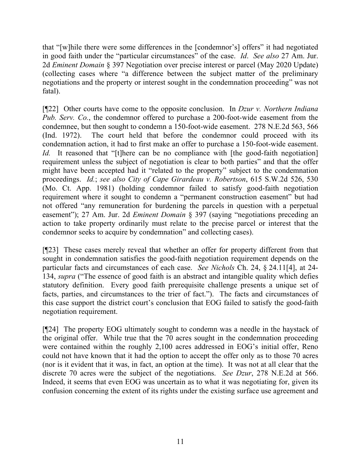that "[w]hile there were some differences in the [condemnor's] offers" it had negotiated in good faith under the "particular circumstances" of the case. *Id*. *See also* 27 Am. Jur. 2d *Eminent Domain* § 397 Negotiation over precise interest or parcel (May 2020 Update) (collecting cases where "a difference between the subject matter of the preliminary negotiations and the property or interest sought in the condemnation proceeding" was not fatal).

[¶22] Other courts have come to the opposite conclusion. In *Dzur v. Northern Indiana Pub. Serv. Co.*, the condemnor offered to purchase a 200-foot-wide easement from the condemnee, but then sought to condemn a 150-foot-wide easement. 278 N.E.2d 563, 566 (Ind. 1972). The court held that before the condemnor could proceed with its condemnation action, it had to first make an offer to purchase a 150-foot-wide easement. *Id.* It reasoned that "[t]here can be no compliance with [the good-faith negotiation] requirement unless the subject of negotiation is clear to both parties" and that the offer might have been accepted had it "related to the property" subject to the condemnation proceedings. *Id.*; *see also City of Cape Girardeau v. Robertson*, 615 S.W.2d 526, 530 (Mo. Ct. App. 1981) (holding condemnor failed to satisfy good-faith negotiation requirement where it sought to condemn a "permanent construction easement" but had not offered "any remuneration for burdening the parcels in question with a perpetual easement"); 27 Am. Jur. 2d *Eminent Domain* § 397 (saying "negotiations preceding an action to take property ordinarily must relate to the precise parcel or interest that the condemnor seeks to acquire by condemnation" and collecting cases).

[¶23] These cases merely reveal that whether an offer for property different from that sought in condemnation satisfies the good-faith negotiation requirement depends on the particular facts and circumstances of each case. *See Nichols* Ch. 24, § 24.11[4], at 24- 134, *supra* ("The essence of good faith is an abstract and intangible quality which defies statutory definition. Every good faith prerequisite challenge presents a unique set of facts, parties, and circumstances to the trier of fact."). The facts and circumstances of this case support the district court's conclusion that EOG failed to satisfy the good-faith negotiation requirement.

[¶24] The property EOG ultimately sought to condemn was a needle in the haystack of the original offer. While true that the 70 acres sought in the condemnation proceeding were contained within the roughly 2,100 acres addressed in EOG's initial offer, Reno could not have known that it had the option to accept the offer only as to those 70 acres (nor is it evident that it was, in fact, an option at the time). It was not at all clear that the discrete 70 acres were the subject of the negotiations. *See Dzur*, 278 N.E.2d at 566. Indeed, it seems that even EOG was uncertain as to what it was negotiating for, given its confusion concerning the extent of its rights under the existing surface use agreement and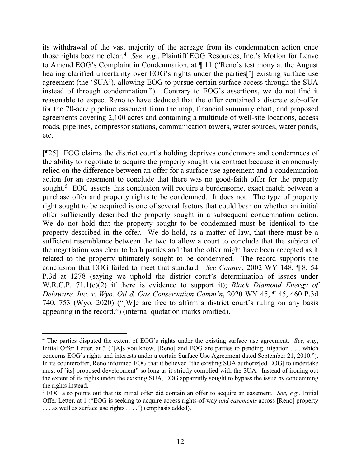its withdrawal of the vast majority of the acreage from its condemnation action once those rights became clear.<sup>[4](#page-12-0)</sup> See, e.g., Plaintiff EOG Resources, Inc.'s Motion for Leave to Amend EOG's Complaint in Condemnation, at ¶ 11 ("Reno's testimony at the August hearing clarified uncertainty over EOG's rights under the parties['] existing surface use agreement (the 'SUA'), allowing EOG to pursue certain surface access through the SUA instead of through condemnation."). Contrary to EOG's assertions, we do not find it reasonable to expect Reno to have deduced that the offer contained a discrete sub-offer for the 70-acre pipeline easement from the map, financial summary chart, and proposed agreements covering 2,100 acres and containing a multitude of well-site locations, access roads, pipelines, compressor stations, communication towers, water sources, water ponds, etc.

[¶25] EOG claims the district court's holding deprives condemnors and condemnees of the ability to negotiate to acquire the property sought via contract because it erroneously relied on the difference between an offer for a surface use agreement and a condemnation action for an easement to conclude that there was no good-faith offer for the property sought.<sup>[5](#page-12-1)</sup> EOG asserts this conclusion will require a burdensome, exact match between a purchase offer and property rights to be condemned. It does not. The type of property right sought to be acquired is one of several factors that could bear on whether an initial offer sufficiently described the property sought in a subsequent condemnation action. We do not hold that the property sought to be condemned must be identical to the property described in the offer. We do hold, as a matter of law, that there must be a sufficient resemblance between the two to allow a court to conclude that the subject of the negotiation was clear to both parties and that the offer might have been accepted as it related to the property ultimately sought to be condemned. The record supports the conclusion that EOG failed to meet that standard. *See Conner*, 2002 WY 148, ¶ 8, 54 P.3d at 1278 (saying we uphold the district court's determination of issues under W.R.C.P. 71.1(e)(2) if there is evidence to support it); *Black Diamond Energy of Delaware, Inc. v. Wyo. Oil & Gas Conservation Comm'n*, 2020 WY 45, ¶ 45, 460 P.3d 740, 753 (Wyo. 2020) ("[W]e are free to affirm a district court's ruling on any basis appearing in the record.") (internal quotation marks omitted).

<span id="page-12-0"></span><sup>4</sup> The parties disputed the extent of EOG's rights under the existing surface use agreement. *See, e.g.*, Initial Offer Letter, at 3 ("[A]s you know, [Reno] and EOG are parties to pending litigation . . . which concerns EOG's rights and interests under a certain Surface Use Agreement dated September 21, 2010."). In its counteroffer, Reno informed EOG that it believed "the existing SUA authoriz[ed EOG] to undertake most of [its] proposed development" so long as it strictly complied with the SUA. Instead of ironing out the extent of its rights under the existing SUA, EOG apparently sought to bypass the issue by condemning the rights instead.

<span id="page-12-1"></span><sup>5</sup> EOG also points out that its initial offer did contain an offer to acquire an easement. *See, e.g.*, Initial Offer Letter, at 1 ("EOG is seeking to acquire access rights-of-way *and easements* across [Reno] property . . . as well as surface use rights . . . .") (emphasis added).